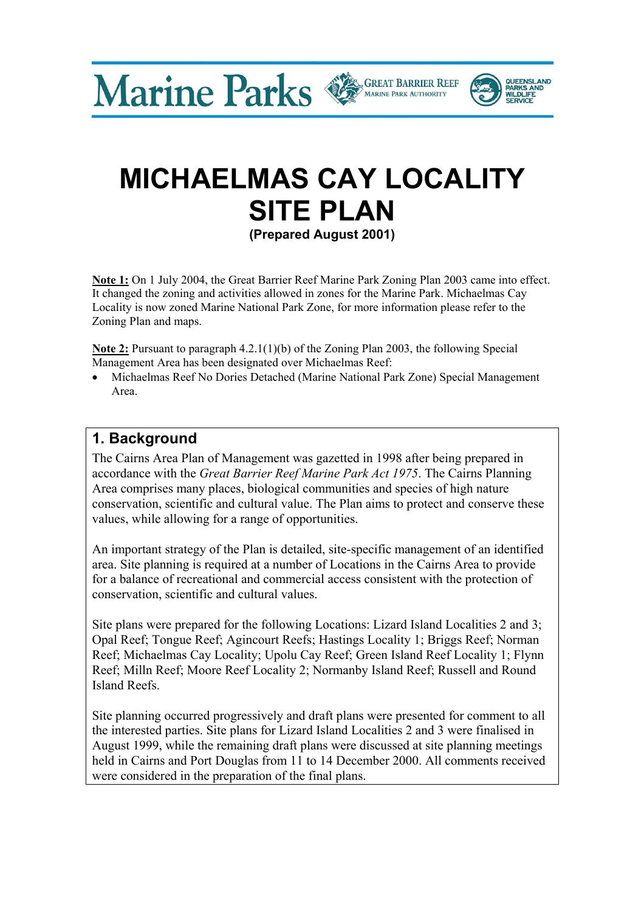Marine Parks CREAT BARRIER REEF



**QUEENSLAND** PARKS AND

**Note 1:** On 1 July 2004, the Great Barrier Reef Marine Park Zoning Plan 2003 came into effect. It changed the zoning and activities allowed in zones for the Marine Park. Michaelmas Cay Locality is now zoned Marine National Park Zone, for more information please refer to the Zoning Plan and maps.

**Note 2:** Pursuant to paragraph 4.2.1(1)(b) of the Zoning Plan 2003, the following Special Management Area has been designated over Michaelmas Reef:

• Michaelmas Reef No Dories Detached (Marine National Park Zone) Special Management Area.

### **1. Background**

The Cairns Area Plan of Management was gazetted in 1998 after being prepared in accordance with the *Great Barrier Reef Marine Park Act 1975*. The Cairns Planning Area comprises many places, biological communities and species of high nature conservation, scientific and cultural value. The Plan aims to protect and conserve these values, while allowing for a range of opportunities.

An important strategy of the Plan is detailed, site-specific management of an identified area. Site planning is required at a number of Locations in the Cairns Area to provide for a balance of recreational and commercial access consistent with the protection of conservation, scientific and cultural values.

Site plans were prepared for the following Locations: Lizard Island Localities 2 and 3; Opal Reef; Tongue Reef; Agincourt Reefs; Hastings Locality 1; Briggs Reef; Norman Reef; Michaelmas Cay Locality; Upolu Cay Reef; Green Island Reef Locality 1; Flynn Reef; Milln Reef; Moore Reef Locality 2; Normanby Island Reef; Russell and Round Island Reefs.

Site planning occurred progressively and draft plans were presented for comment to all the interested parties. Site plans for Lizard Island Localities 2 and 3 were finalised in August 1999, while the remaining draft plans were discussed at site planning meetings held in Cairns and Port Douglas from 11 to 14 December 2000. All comments received were considered in the preparation of the final plans.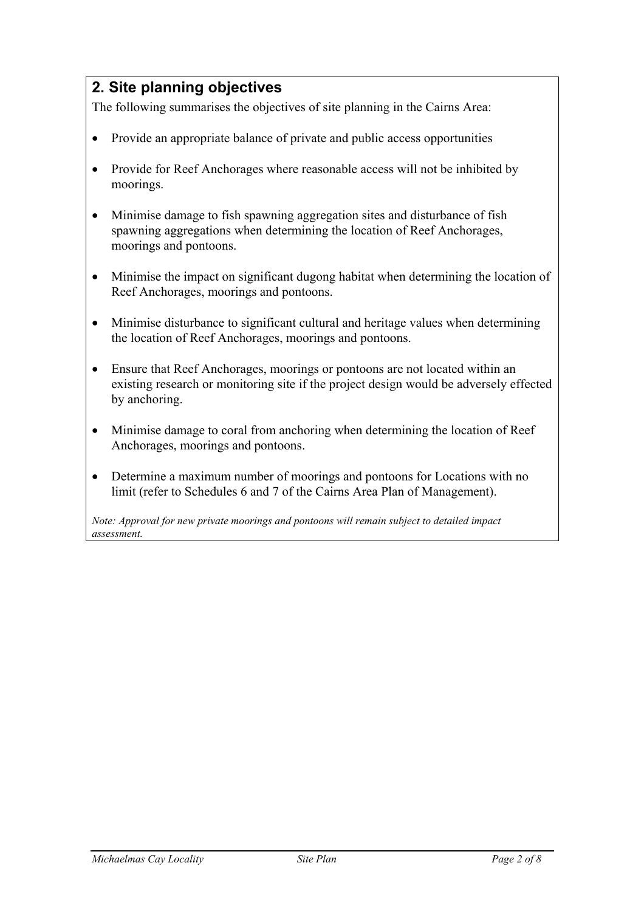# **2. Site planning objectives**

The following summarises the objectives of site planning in the Cairns Area:

- Provide an appropriate balance of private and public access opportunities
- Provide for Reef Anchorages where reasonable access will not be inhibited by moorings.
- Minimise damage to fish spawning aggregation sites and disturbance of fish spawning aggregations when determining the location of Reef Anchorages, moorings and pontoons.
- Minimise the impact on significant dugong habitat when determining the location of Reef Anchorages, moorings and pontoons.
- Minimise disturbance to significant cultural and heritage values when determining the location of Reef Anchorages, moorings and pontoons.
- Ensure that Reef Anchorages, moorings or pontoons are not located within an existing research or monitoring site if the project design would be adversely effected by anchoring.
- Minimise damage to coral from anchoring when determining the location of Reef Anchorages, moorings and pontoons.
- Determine a maximum number of moorings and pontoons for Locations with no limit (refer to Schedules 6 and 7 of the Cairns Area Plan of Management).

*Note: Approval for new private moorings and pontoons will remain subject to detailed impact assessment.*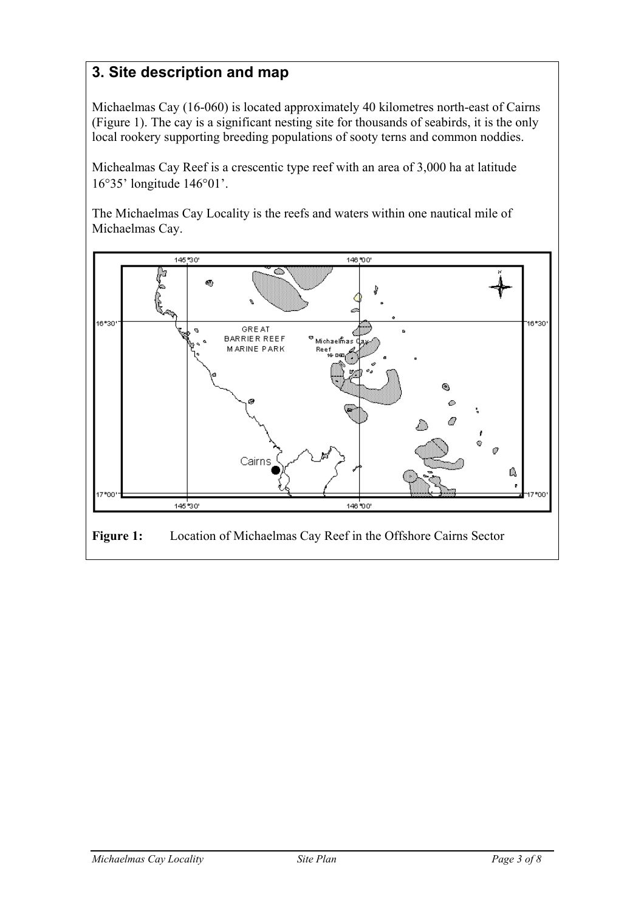# **3. Site description and map**

Michaelmas Cay (16-060) is located approximately 40 kilometres north-east of Cairns (Figure 1). The cay is a significant nesting site for thousands of seabirds, it is the only local rookery supporting breeding populations of sooty terns and common noddies.

Michealmas Cay Reef is a crescentic type reef with an area of 3,000 ha at latitude 16°35' longitude 146°01'.

The Michaelmas Cay Locality is the reefs and waters within one nautical mile of Michaelmas Cay.

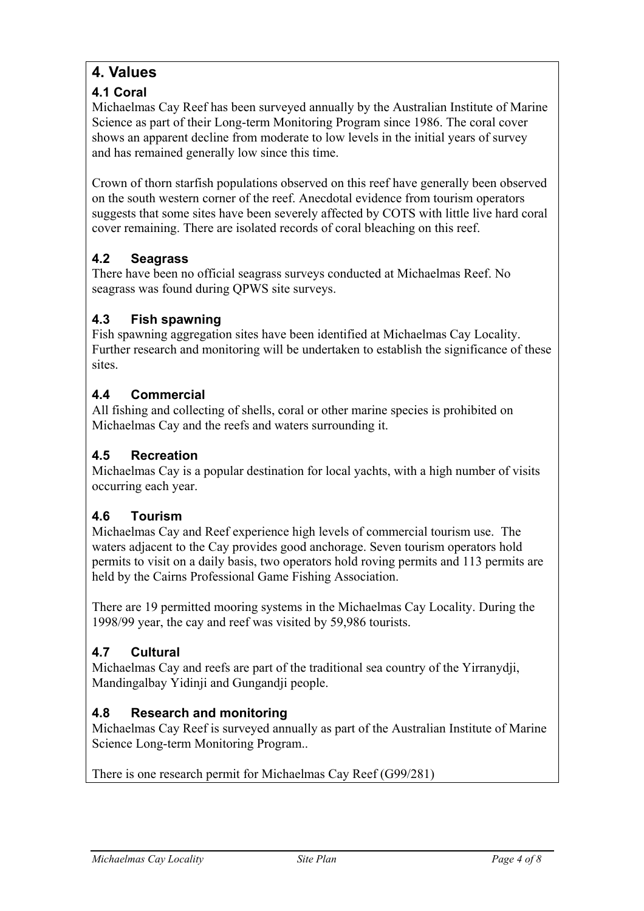# **4. Values**

### **4.1 Coral**

Michaelmas Cay Reef has been surveyed annually by the Australian Institute of Marine Science as part of their Long-term Monitoring Program since 1986. The coral cover shows an apparent decline from moderate to low levels in the initial years of survey and has remained generally low since this time.

Crown of thorn starfish populations observed on this reef have generally been observed on the south western corner of the reef. Anecdotal evidence from tourism operators suggests that some sites have been severely affected by COTS with little live hard coral cover remaining. There are isolated records of coral bleaching on this reef.

### **4.2 Seagrass**

There have been no official seagrass surveys conducted at Michaelmas Reef. No seagrass was found during QPWS site surveys.

#### **4.3 Fish spawning**

Fish spawning aggregation sites have been identified at Michaelmas Cay Locality. Further research and monitoring will be undertaken to establish the significance of these sites.

#### **4.4 Commercial**

All fishing and collecting of shells, coral or other marine species is prohibited on Michaelmas Cay and the reefs and waters surrounding it.

#### **4.5 Recreation**

Michaelmas Cay is a popular destination for local yachts, with a high number of visits occurring each year.

#### **4.6 Tourism**

Michaelmas Cay and Reef experience high levels of commercial tourism use. The waters adjacent to the Cay provides good anchorage. Seven tourism operators hold permits to visit on a daily basis, two operators hold roving permits and 113 permits are held by the Cairns Professional Game Fishing Association.

There are 19 permitted mooring systems in the Michaelmas Cay Locality. During the 1998/99 year, the cay and reef was visited by 59,986 tourists.

#### **4.7 Cultural**

Michaelmas Cay and reefs are part of the traditional sea country of the Yirranydji, Mandingalbay Yidinji and Gungandji people.

#### **4.8 Research and monitoring**

Michaelmas Cay Reef is surveyed annually as part of the Australian Institute of Marine Science Long-term Monitoring Program..

There is one research permit for Michaelmas Cay Reef (G99/281)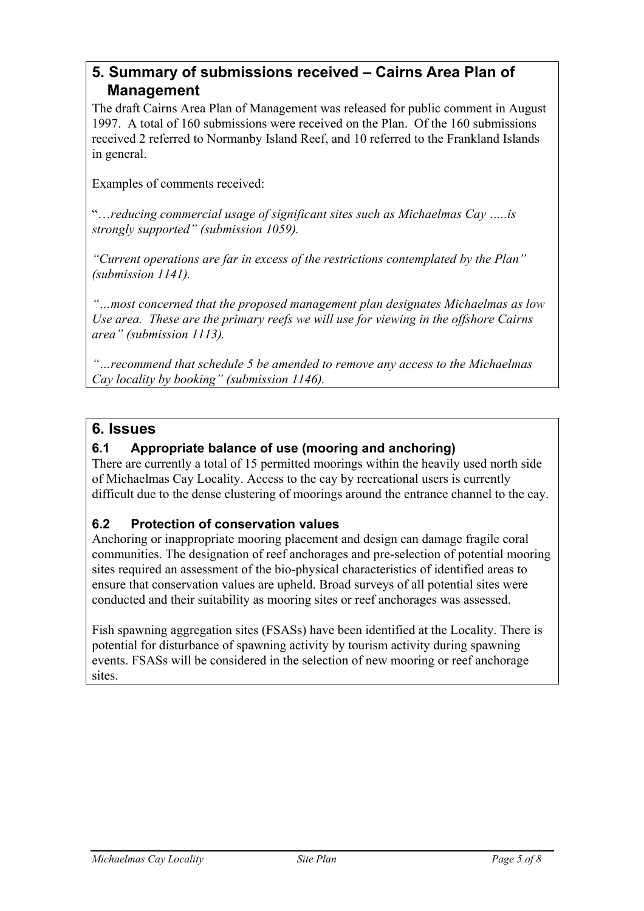## **5. Summary of submissions received – Cairns Area Plan of Management**

The draft Cairns Area Plan of Management was released for public comment in August 1997. A total of 160 submissions were received on the Plan. Of the 160 submissions received 2 referred to Normanby Island Reef, and 10 referred to the Frankland Islands in general.

Examples of comments received:

"…*reducing commercial usage of significant sites such as Michaelmas Cay …..is strongly supported" (submission 1059).* 

*"Current operations are far in excess of the restrictions contemplated by the Plan" (submission 1141).* 

*"…most concerned that the proposed management plan designates Michaelmas as low Use area. These are the primary reefs we will use for viewing in the offshore Cairns area" (submission 1113).* 

*"…recommend that schedule 5 be amended to remove any access to the Michaelmas Cay locality by booking" (submission 1146).* 

### **6. Issues**

#### **6.1 Appropriate balance of use (mooring and anchoring)**

There are currently a total of 15 permitted moorings within the heavily used north side of Michaelmas Cay Locality. Access to the cay by recreational users is currently difficult due to the dense clustering of moorings around the entrance channel to the cay.

#### **6.2 Protection of conservation values**

Anchoring or inappropriate mooring placement and design can damage fragile coral communities. The designation of reef anchorages and pre-selection of potential mooring sites required an assessment of the bio-physical characteristics of identified areas to ensure that conservation values are upheld. Broad surveys of all potential sites were conducted and their suitability as mooring sites or reef anchorages was assessed.

Fish spawning aggregation sites (FSASs) have been identified at the Locality. There is potential for disturbance of spawning activity by tourism activity during spawning events. FSASs will be considered in the selection of new mooring or reef anchorage sites.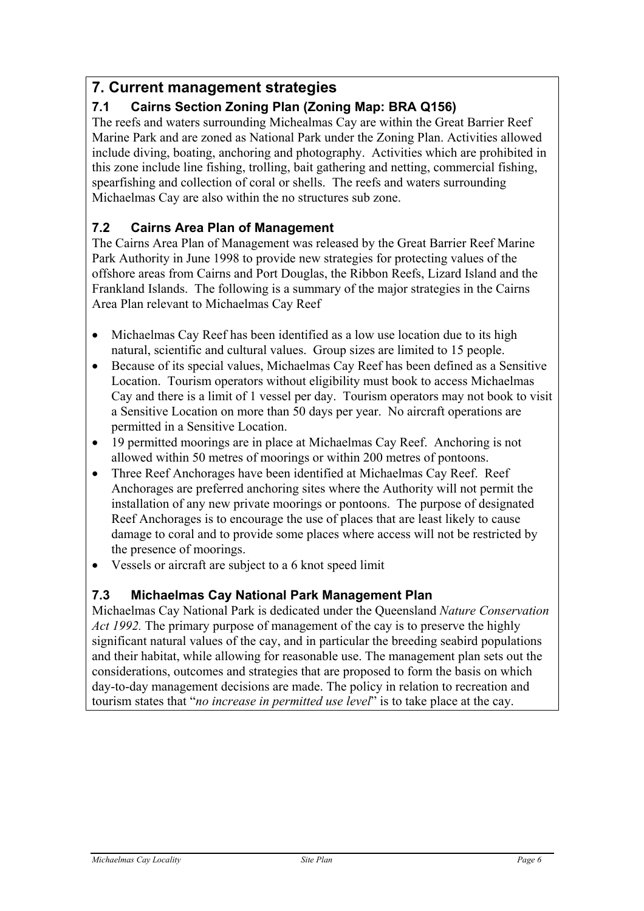## **7. Current management strategies**

### **7.1 Cairns Section Zoning Plan (Zoning Map: BRA Q156)**

The reefs and waters surrounding Michealmas Cay are within the Great Barrier Reef Marine Park and are zoned as National Park under the Zoning Plan. Activities allowed include diving, boating, anchoring and photography. Activities which are prohibited in this zone include line fishing, trolling, bait gathering and netting, commercial fishing, spearfishing and collection of coral or shells. The reefs and waters surrounding Michaelmas Cay are also within the no structures sub zone.

#### **7.2 Cairns Area Plan of Management**

The Cairns Area Plan of Management was released by the Great Barrier Reef Marine Park Authority in June 1998 to provide new strategies for protecting values of the offshore areas from Cairns and Port Douglas, the Ribbon Reefs, Lizard Island and the Frankland Islands. The following is a summary of the major strategies in the Cairns Area Plan relevant to Michaelmas Cay Reef

- Michaelmas Cay Reef has been identified as a low use location due to its high natural, scientific and cultural values. Group sizes are limited to 15 people.
- Because of its special values, Michaelmas Cay Reef has been defined as a Sensitive Location. Tourism operators without eligibility must book to access Michaelmas Cay and there is a limit of 1 vessel per day. Tourism operators may not book to visit a Sensitive Location on more than 50 days per year. No aircraft operations are permitted in a Sensitive Location.
- 19 permitted moorings are in place at Michaelmas Cay Reef. Anchoring is not allowed within 50 metres of moorings or within 200 metres of pontoons.
- Three Reef Anchorages have been identified at Michaelmas Cay Reef. Reef Anchorages are preferred anchoring sites where the Authority will not permit the installation of any new private moorings or pontoons. The purpose of designated Reef Anchorages is to encourage the use of places that are least likely to cause damage to coral and to provide some places where access will not be restricted by the presence of moorings.
- Vessels or aircraft are subject to a 6 knot speed limit

#### **7.3 Michaelmas Cay National Park Management Plan**

Michaelmas Cay National Park is dedicated under the Queensland *Nature Conservation Act 1992.* The primary purpose of management of the cay is to preserve the highly significant natural values of the cay, and in particular the breeding seabird populations and their habitat, while allowing for reasonable use. The management plan sets out the considerations, outcomes and strategies that are proposed to form the basis on which day-to-day management decisions are made. The policy in relation to recreation and tourism states that "*no increase in permitted use level*" is to take place at the cay.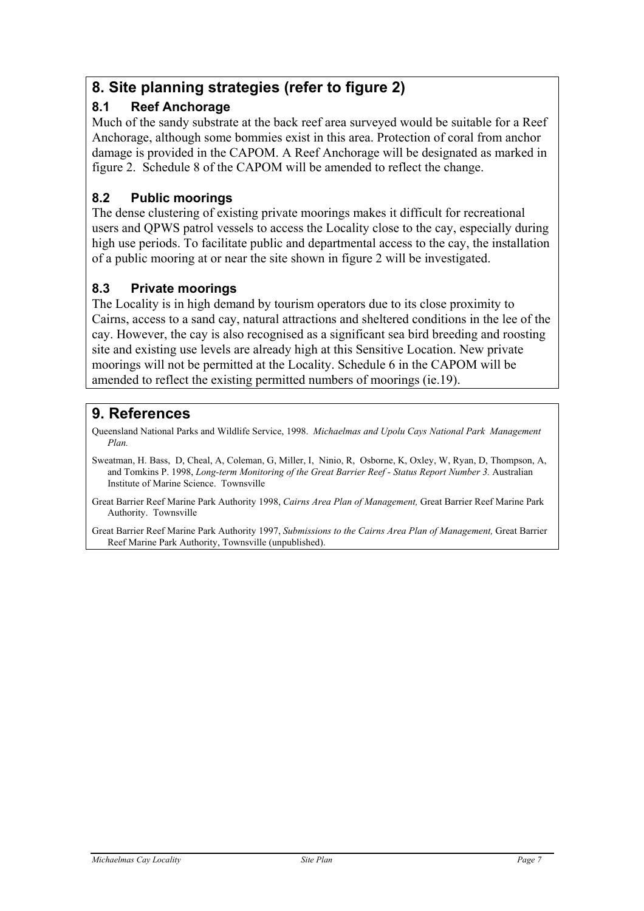# **8. Site planning strategies (refer to figure 2)**

### **8.1 Reef Anchorage**

Much of the sandy substrate at the back reef area surveyed would be suitable for a Reef Anchorage, although some bommies exist in this area. Protection of coral from anchor damage is provided in the CAPOM. A Reef Anchorage will be designated as marked in figure 2. Schedule 8 of the CAPOM will be amended to reflect the change.

### **8.2 Public moorings**

The dense clustering of existing private moorings makes it difficult for recreational users and QPWS patrol vessels to access the Locality close to the cay, especially during high use periods. To facilitate public and departmental access to the cay, the installation of a public mooring at or near the site shown in figure 2 will be investigated.

#### **8.3 Private moorings**

The Locality is in high demand by tourism operators due to its close proximity to Cairns, access to a sand cay, natural attractions and sheltered conditions in the lee of the cay. However, the cay is also recognised as a significant sea bird breeding and roosting site and existing use levels are already high at this Sensitive Location. New private moorings will not be permitted at the Locality. Schedule 6 in the CAPOM will be amended to reflect the existing permitted numbers of moorings (ie.19).

## **9. References**

Queensland National Parks and Wildlife Service, 1998. *Michaelmas and Upolu Cays National Park Management Plan.* 

Sweatman, H. Bass, D, Cheal, A, Coleman, G, Miller, I, Ninio, R, Osborne, K, Oxley, W, Ryan, D, Thompson, A, and Tomkins P. 1998, *Long-term Monitoring of the Great Barrier Reef - Status Report Number 3.* Australian Institute of Marine Science. Townsville

Great Barrier Reef Marine Park Authority 1998, *Cairns Area Plan of Management,* Great Barrier Reef Marine Park Authority. Townsville

Great Barrier Reef Marine Park Authority 1997, *Submissions to the Cairns Area Plan of Management,* Great Barrier Reef Marine Park Authority, Townsville (unpublished).